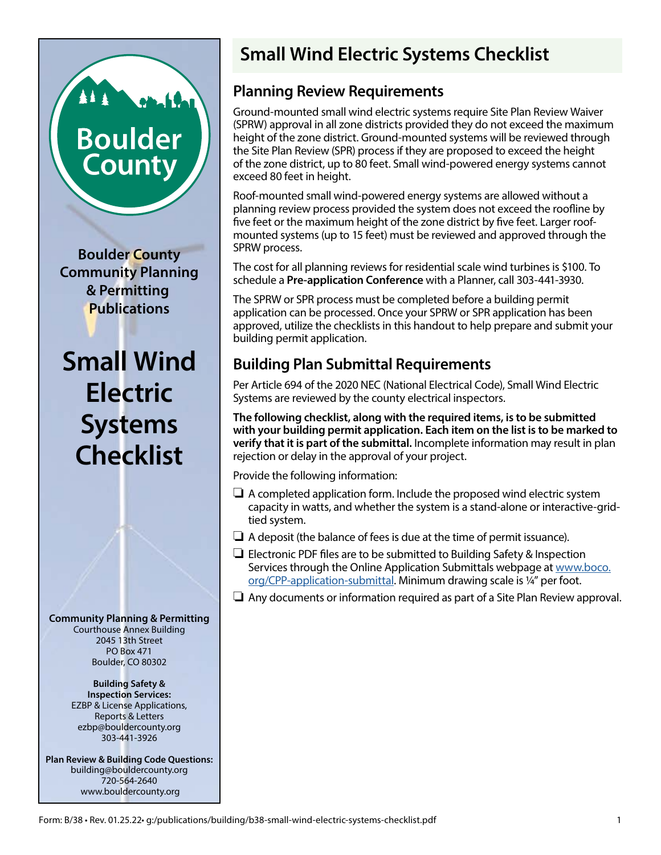# **Boulder** County

All Chat

**Boulder County Community Planning & Permitting Publications**

**Small Wind Electric Systems Checklist**

**Community Planning & Permitting** Courthouse Annex Building 2045 13th Street PO Box 471 Boulder, CO 80302

> **Building Safety & Inspection Services:** EZBP & License Applications, Reports & Letters ezbp@bouldercounty.org 303-441-3926

**Plan Review & Building Code Questions:** building@bouldercounty.org 720-564-2640 www.bouldercounty.org

## **Small Wind Electric Systems Checklist**

## **Planning Review Requirements**

Ground-mounted small wind electric systems require Site Plan Review Waiver (SPRW) approval in all zone districts provided they do not exceed the maximum height of the zone district. Ground-mounted systems will be reviewed through the Site Plan Review (SPR) process if they are proposed to exceed the height of the zone district, up to 80 feet. Small wind-powered energy systems cannot exceed 80 feet in height.

Roof-mounted small wind-powered energy systems are allowed without a planning review process provided the system does not exceed the roofline by five feet or the maximum height of the zone district by five feet. Larger roofmounted systems (up to 15 feet) must be reviewed and approved through the SPRW process.

The cost for all planning reviews for residential scale wind turbines is \$100. To schedule a **Pre-application Conference** with a Planner, call 303-441-3930.

The SPRW or SPR process must be completed before a building permit application can be processed. Once your SPRW or SPR application has been approved, utilize the checklists in this handout to help prepare and submit your building permit application.

## **Building Plan Submittal Requirements**

Per Article 694 of the 2020 NEC (National Electrical Code), Small Wind Electric Systems are reviewed by the county electrical inspectors.

**The following checklist, along with the required items, is to be submitted with your building permit application. Each item on the list is to be marked to verify that it is part of the submittal.** Incomplete information may result in plan rejection or delay in the approval of your project.

Provide the following information:

- $\Box$  A completed application form. Include the proposed wind electric system capacity in watts, and whether the system is a stand-alone or interactive-gridtied system.
- $\Box$  A deposit (the balance of fees is due at the time of permit issuance).
- $\Box$  Electronic PDF files are to be submitted to Building Safety & Inspection Services through the Online Application Submittals webpage at [www.boco.](https://www.boco.org/CPP-application-submittal) [org/CPP-application-submittal.](https://www.boco.org/CPP-application-submittal) Minimum drawing scale is ¼" per foot.
- $\Box$  Any documents or information required as part of a Site Plan Review approval.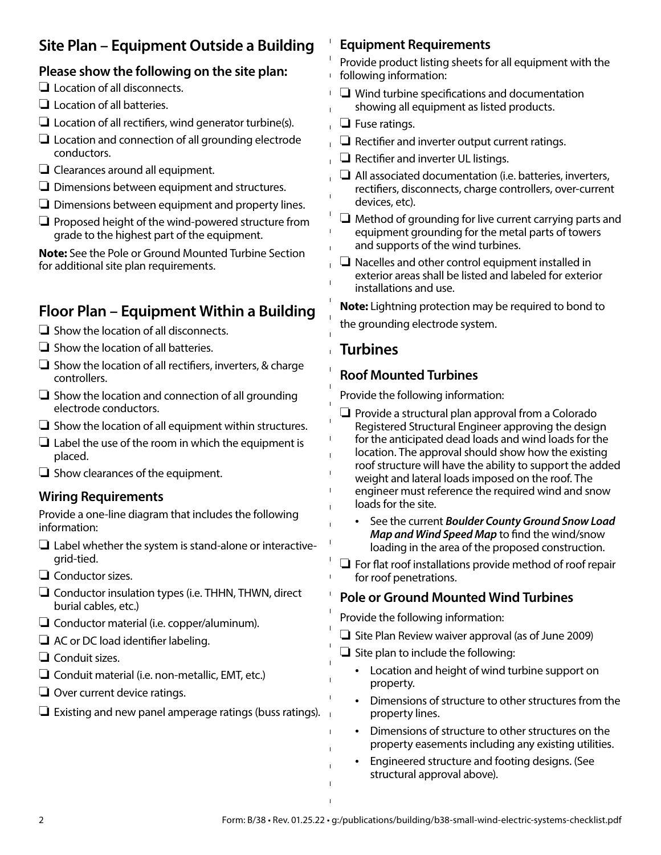## **Site Plan – Equipment Outside a Building**

#### **Please show the following on the site plan:**

- $\Box$  Location of all disconnects.
- $\Box$  Location of all batteries.
- $\Box$  Location of all rectifiers, wind generator turbine(s).
- $\Box$  Location and connection of all grounding electrode conductors.
- $\Box$  Clearances around all equipment.
- $\Box$  Dimensions between equipment and structures.
- $\Box$  Dimensions between equipment and property lines.
- $\Box$  Proposed height of the wind-powered structure from grade to the highest part of the equipment.

**Note:** See the Pole or Ground Mounted Turbine Section for additional site plan requirements.

## **Floor Plan – Equipment Within a Building**

 $\Box$  Show the location of all disconnects.

- $\Box$  Show the location of all batteries.
- $\Box$  Show the location of all rectifiers, inverters, & charge controllers.
- $\Box$  Show the location and connection of all grounding electrode conductors.
- $\Box$  Show the location of all equipment within structures.
- $\Box$  Label the use of the room in which the equipment is placed.
- $\Box$  Show clearances of the equipment.

#### **Wiring Requirements**

Provide a one-line diagram that includes the following information:

- $\Box$  Label whether the system is stand-alone or interactivegrid-tied.
- $\Box$  Conductor sizes.
- $\Box$  Conductor insulation types (i.e. THHN, THWN, direct burial cables, etc.)
- $\Box$  Conductor material (i.e. copper/aluminum).
- $\Box$  AC or DC load identifier labeling.
- $\Box$  Conduit sizes.
- $\Box$  Conduit material (i.e. non-metallic, EMT, etc.)
- $\Box$  Over current device ratings.
- $\Box$  Existing and new panel amperage ratings (buss ratings).

#### **Equipment Requirements**

Provide product listing sheets for all equipment with the following information:  $\mathbf{L}$ 

- $\mathbf{L}$  $\Box$  Wind turbine specifications and documentation showing all equipment as listed products.
- $\Box$  Fuse ratings.
- $\Box$  Rectifier and inverter output current ratings.
- $\Box$  Rectifier and inverter UL listings.
- $\Box$  All associated documentation (i.e. batteries, inverters, rectifiers, disconnects, charge controllers, over-current devices, etc).
- $\Box$  Method of grounding for live current carrying parts and equipment grounding for the metal parts of towers and supports of the wind turbines.
- $\Box$  Nacelles and other control equipment installed in exterior areas shall be listed and labeled for exterior installations and use.

**Note:** Lightning protection may be required to bond to the grounding electrode system.

### **Turbines**

 $\mathbf{I}$  $\mathbf{I}$  $\mathbf{I}$ 

 $\mathbf{I}$ 

#### **Roof Mounted Turbines**

Provide the following information:

- $\Box$  Provide a structural plan approval from a Colorado Registered Structural Engineer approving the design for the anticipated dead loads and wind loads for the location. The approval should show how the existing roof structure will have the ability to support the added weight and lateral loads imposed on the roof. The engineer must reference the required wind and snow loads for the site.
	- See the current *Boulder County Ground Snow Load Map and Wind Speed Map* to find the wind/snow loading in the area of the proposed construction.
- $\Box$  For flat roof installations provide method of roof repair for roof penetrations.

#### **Pole or Ground Mounted Wind Turbines**

Provide the following information:

- $\Box$  Site Plan Review waiver approval (as of June 2009)
- $\Box$  Site plan to include the following:
	- Location and height of wind turbine support on property.
	- Dimensions of structure to other structures from the property lines.
	- Dimensions of structure to other structures on the property easements including any existing utilities.
	- Engineered structure and footing designs. (See structural approval above).